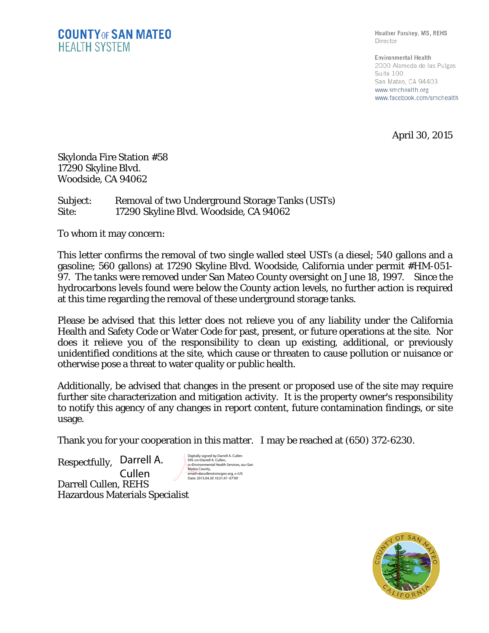Heather Forshey, MS, REHS Director

Environmental Health 2000 Alameda de las Pulgas Suite 100 San Mateo, CA 94403 www.smchealth.org www.facebook.com/smchealth

April 30, 2015

Skylonda Fire Station #58 17290 Skyline Blvd. Woodside, CA 94062

Subject: Removal of two Underground Storage Tanks (USTs) Site: 17290 Skyline Blvd. Woodside, CA 94062

To whom it may concern:

This letter confirms the removal of two single walled steel USTs (a diesel; 540 gallons and a gasoline; 560 gallons) at 17290 Skyline Blvd. Woodside, California under permit #HM-051- 97. The tanks were removed under San Mateo County oversight on June 18, 1997. Since the hydrocarbons levels found were below the County action levels, no further action is required at this time regarding the removal of these underground storage tanks.

Please be advised that this letter does not relieve you of any liability under the California Health and Safety Code or Water Code for past, present, or future operations at the site. Nor does it relieve you of the responsibility to clean up existing, additional, or previously unidentified conditions at the site, which cause or threaten to cause pollution or nuisance or otherwise pose a threat to water quality or public health.

Additionally, be advised that changes in the present or proposed use of the site may require further site characterization and mitigation activity. It is the property owner's responsibility to notify this agency of any changes in report content, future contamination findings, or site usage.

Thank you for your cooperation in this matter. I may be reached at (650) 372-6230.

Respectfully, Darrell A. Darrell Cullen, REHS Hazardous Materials Specialist Cullen

Digitally signed by Darrell A. Cullen DN: cn=Darrell A. Cullen, o=Environmental Health Services, ou=San Mateo County, email=dacullen@smcgov.org, c=US Date: 2015.04.30 10:31:47 -07'00'